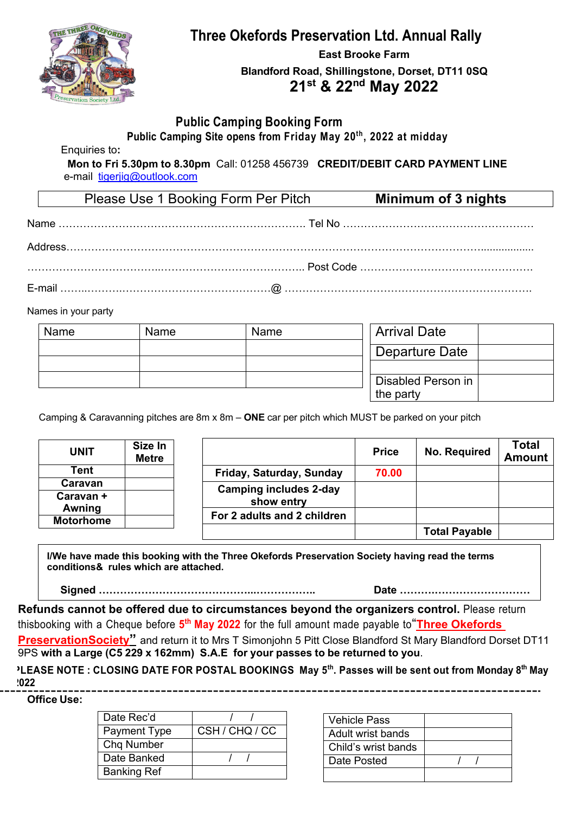

# **Three Okefords Preservation Ltd. Annual Rally**

**East Brooke Farm Blandford Road, Shillingstone, Dorset, DT11 0SQ 21st & 22nd May 2022**

### **Public Camping Booking Form**

**Public Camping Site opens from Friday May 20th, 2022 at midday**

Enquiries to**:** 

**Mon to Fri 5.30pm to 8.30pm** Call: 01258 456739 **CREDIT/DEBIT CARD PAYMENT LINE** e-mail tigerjig@outlook.com

| Please Use 1 Booking Form Per Pitch | <b>Minimum of 3 nights</b> |
|-------------------------------------|----------------------------|
|                                     |                            |
|                                     |                            |
|                                     |                            |
|                                     |                            |

Names in your party

| Name | Name | Name | <b>Arrival Date</b>             |  |
|------|------|------|---------------------------------|--|
|      |      |      | Departure Date                  |  |
|      |      |      |                                 |  |
|      |      |      | Disabled Person in<br>the party |  |

Camping & Caravanning pitches are 8m x 8m – **ONE** car per pitch which MUST be parked on your pitch

| <b>UNIT</b>         | Size In<br><b>Metre</b> |                               | <b>Price</b> | <b>No. Required</b>  | Total<br><b>Amount</b> |
|---------------------|-------------------------|-------------------------------|--------------|----------------------|------------------------|
| Tent                |                         | Friday, Saturday, Sunday      | 70.00        |                      |                        |
| Caravan             |                         | <b>Camping includes 2-day</b> |              |                      |                        |
| Caravan +<br>Awning |                         | show entry                    |              |                      |                        |
| <b>Motorhome</b>    |                         | For 2 adults and 2 children   |              |                      |                        |
|                     |                         |                               |              | <b>Total Payable</b> |                        |

**I/We have made this booking with the Three Okefords Preservation Society having read the terms conditions& rules which are attached.**

**Signed ……………………………………...…………….. Date ……….………………………**

**Refunds cannot be offered due to circumstances beyond the organizers control.** Please return thisbooking with a Cheque before **5th May 2022** for the full amount made payable to"**Three Okefords**

**PreservationSociety"** and return it to Mrs T Simonjohn 5 Pitt Close Blandford St Mary Blandford Dorset DT11 9PS **with a Large (C5 229 x 162mm) S.A.E for your passes to be returned to you**.

<sup>2</sup>LEASE NOTE : CLOSING DATE FOR POSTAL BOOKINGS May 5<sup>th</sup>. Passes will be sent out from Monday 8<sup>th</sup> May **2022** 

**Office Use:**

| Date Rec'd         |                |
|--------------------|----------------|
| Payment Type       | CSH / CHQ / CC |
| Chq Number         |                |
| Date Banked        |                |
| <b>Banking Ref</b> |                |
|                    |                |

| <b>Vehicle Pass</b> |  |
|---------------------|--|
| Adult wrist bands   |  |
| Child's wrist bands |  |
| Date Posted         |  |
|                     |  |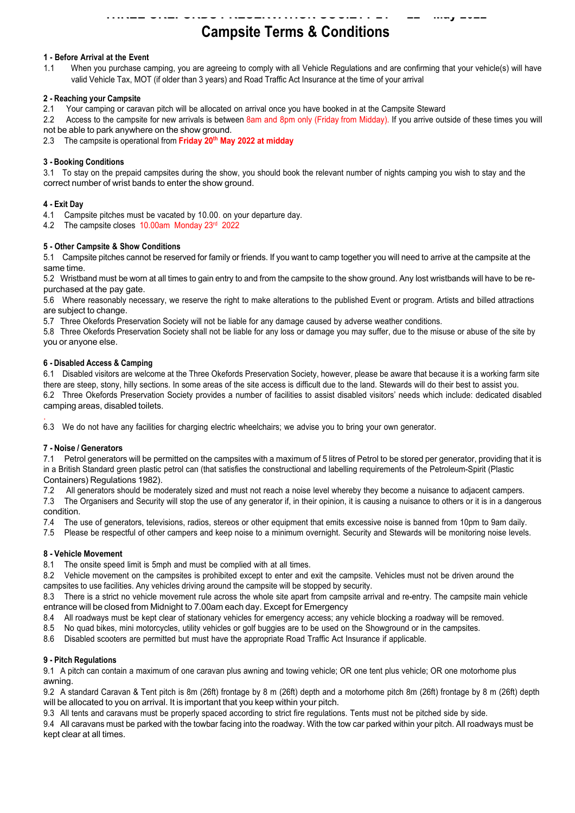# **Campsite Terms & Conditions**

### **1 - Before Arrival at the Event**

1.1 When you purchase camping, you are agreeing to comply with all Vehicle Regulations and are confirming that your vehicle(s) will have valid Vehicle Tax, MOT (if older than 3 years) and Road Traffic Act Insurance at the time of your arrival

#### **2 - Reaching your Campsite**

2.1 Your camping or caravan pitch will be allocated on arrival once you have booked in at the Campsite Steward

2.2 Access to the campsite for new arrivals is between 8am and 8pm only (Friday from Midday). If you arrive outside of these times you will not be able to park anywhere on the show ground.

2.3 The campsite is operational from **Friday 20th May 2022 at midday**

#### **3 - Booking Conditions**

3.1 To stay on the prepaid campsites during the show, you should book the relevant number of nights camping you wish to stay and the correct number of wrist bands to enter the show ground.

#### **4 - Exit Day**

4.1 Campsite pitches must be vacated by 10.00. on your departure day.

4.2 The campsite closes 10.00am Monday 23rd 2022

#### **5 - Other Campsite & Show Conditions**

5.1 Campsite pitches cannot be reserved for family or friends. If you want to camp together you will need to arrive at the campsite at the same time.

5.2 Wristband must be worn at all times to gain entry to and from the campsite to the show ground. Any lost wristbands will have to be repurchased at the pay gate.

5.6 Where reasonably necessary, we reserve the right to make alterations to the published Event or program. Artists and billed attractions are subject to change.

5.7 Three Okefords Preservation Society will not be liable for any damage caused by adverse weather conditions.

5.8 Three Okefords Preservation Society shall not be liable for any loss or damage you may suffer, due to the misuse or abuse of the site by you or anyone else.

#### **6 - Disabled Access & Camping**

6.1 Disabled visitors are welcome at the Three Okefords Preservation Society, however, please be aware that because it is a working farm site there are steep, stony, hilly sections. In some areas of the site access is difficult due to the land. Stewards will do their best to assist you. 6.2 Three Okefords Preservation Society provides a number of facilities to assist disabled visitors' needs which include: dedicated disabled camping areas, disabled toilets.

. 6.3 We do not have any facilities for charging electric wheelchairs; we advise you to bring your own generator.

#### **7 - Noise / Generators**

7.1 Petrol generators will be permitted on the campsites with a maximum of 5 litres of Petrol to be stored per generator, providing that it is in a British Standard green plastic petrol can (that satisfies the constructional and labelling requirements of the Petroleum-Spirit (Plastic Containers) Regulations 1982).

7.2 All generators should be moderately sized and must not reach a noise level whereby they become a nuisance to adjacent campers.

7.3 The Organisers and Security will stop the use of any generator if, in their opinion, it is causing a nuisance to others or it is in a dangerous condition.

7.4 The use of generators, televisions, radios, stereos or other equipment that emits excessive noise is banned from 10pm to 9am daily.

7.5 Please be respectful of other campers and keep noise to a minimum overnight. Security and Stewards will be monitoring noise levels.

#### **8 - Vehicle Movement**

8.1 The onsite speed limit is 5mph and must be complied with at all times.

8.2 Vehicle movement on the campsites is prohibited except to enter and exit the campsite. Vehicles must not be driven around the campsites to use facilities. Any vehicles driving around the campsite will be stopped by security.

8.3 There is a strict no vehicle movement rule across the whole site apart from campsite arrival and re-entry. The campsite main vehicle entrance will be closed from Midnight to 7.00am each day. Except for Emergency

8.4 All roadways must be kept clear of stationary vehicles for emergency access; any vehicle blocking a roadway will be removed.

8.5 No quad bikes, mini motorcycles, utility vehicles or golf buggies are to be used on the Showground or in the campsites.

8.6 Disabled scooters are permitted but must have the appropriate Road Traffic Act Insurance if applicable.

#### **9 - Pitch Regulations**

9.1 A pitch can contain a maximum of one caravan plus awning and towing vehicle; OR one tent plus vehicle; OR one motorhome plus awning.

9.2 A standard Caravan & Tent pitch is 8m (26ft) frontage by 8 m (26ft) depth and a motorhome pitch 8m (26ft) frontage by 8 m (26ft) depth will be allocated to you on arrival. It is important that you keep within your pitch.

9.3 All tents and caravans must be properly spaced according to strict fire regulations. Tents must not be pitched side by side.

9.4 All caravans must be parked with the towbar facing into the roadway. With the tow car parked within your pitch. All roadways must be kept clear at all times.